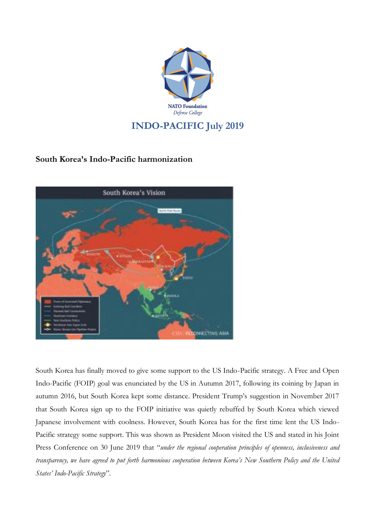

## **South Korea's Indo-Pacific harmonization**



South Korea has finally moved to give some support to the US Indo-Pacific strategy. A Free and Open Indo-Pacific (FOIP) goal was enunciated by the US in Autumn 2017, following its coining by Japan in autumn 2016, but South Korea kept some distance. President Trump's suggestion in November 2017 that South Korea sign up to the FOIP initiative was quietly rebuffed by South Korea which viewed Japanese involvement with coolness. However, South Korea has for the first time lent the US Indo-Pacific strategy some support. This was shown as President Moon visited the US and stated in his Joint Press Conference on 30 June 2019 that "*under the regional cooperation principles of openness, inclusiveness and* transparency, we have agreed to put forth harmonious cooperation between Korea's New Southern Policy and the United *States' Indo-Pacific Strategy*"*.*